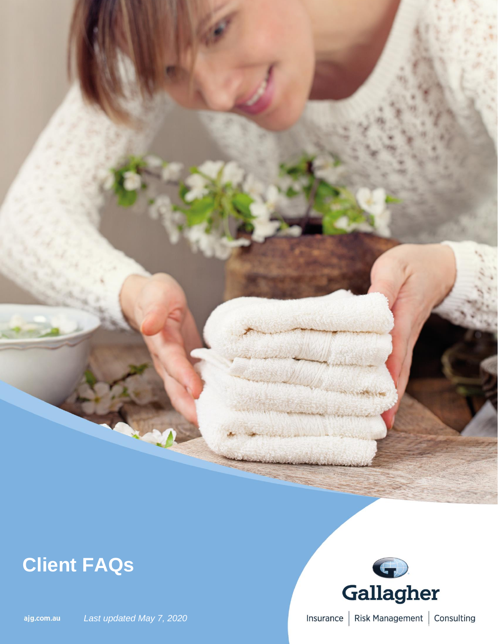## **Client FAQs**





Insurance | Risk Management | Consulting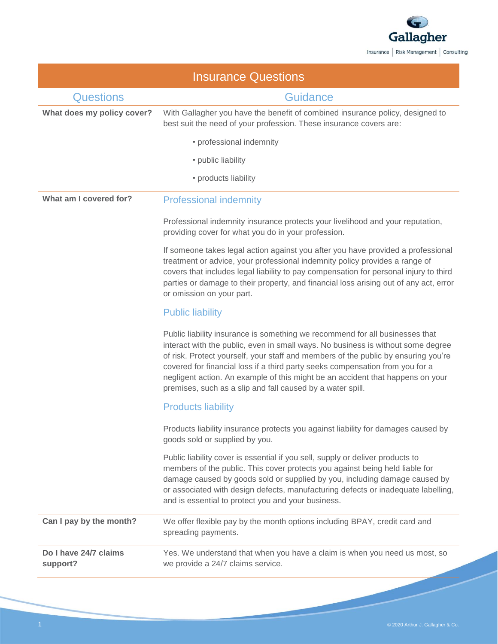

| <b>Insurance Questions</b>        |                                                                                                                                                                                                                                                                                                                                                                                                                                                                                         |
|-----------------------------------|-----------------------------------------------------------------------------------------------------------------------------------------------------------------------------------------------------------------------------------------------------------------------------------------------------------------------------------------------------------------------------------------------------------------------------------------------------------------------------------------|
| <b>Questions</b>                  | <b>Guidance</b>                                                                                                                                                                                                                                                                                                                                                                                                                                                                         |
| What does my policy cover?        | With Gallagher you have the benefit of combined insurance policy, designed to<br>best suit the need of your profession. These insurance covers are:                                                                                                                                                                                                                                                                                                                                     |
|                                   | • professional indemnity                                                                                                                                                                                                                                                                                                                                                                                                                                                                |
|                                   | • public liability                                                                                                                                                                                                                                                                                                                                                                                                                                                                      |
|                                   | • products liability                                                                                                                                                                                                                                                                                                                                                                                                                                                                    |
| What am I covered for?            | <b>Professional indemnity</b>                                                                                                                                                                                                                                                                                                                                                                                                                                                           |
|                                   | Professional indemnity insurance protects your livelihood and your reputation,<br>providing cover for what you do in your profession.                                                                                                                                                                                                                                                                                                                                                   |
|                                   | If someone takes legal action against you after you have provided a professional<br>treatment or advice, your professional indemnity policy provides a range of<br>covers that includes legal liability to pay compensation for personal injury to third<br>parties or damage to their property, and financial loss arising out of any act, error<br>or omission on your part.                                                                                                          |
|                                   | <b>Public liability</b>                                                                                                                                                                                                                                                                                                                                                                                                                                                                 |
|                                   | Public liability insurance is something we recommend for all businesses that<br>interact with the public, even in small ways. No business is without some degree<br>of risk. Protect yourself, your staff and members of the public by ensuring you're<br>covered for financial loss if a third party seeks compensation from you for a<br>negligent action. An example of this might be an accident that happens on your<br>premises, such as a slip and fall caused by a water spill. |
|                                   | <b>Products liability</b>                                                                                                                                                                                                                                                                                                                                                                                                                                                               |
|                                   | Products liability insurance protects you against liability for damages caused by<br>goods sold or supplied by you.                                                                                                                                                                                                                                                                                                                                                                     |
|                                   | Public liability cover is essential if you sell, supply or deliver products to<br>members of the public. This cover protects you against being held liable for<br>damage caused by goods sold or supplied by you, including damage caused by<br>or associated with design defects, manufacturing defects or inadequate labelling,<br>and is essential to protect you and your business.                                                                                                 |
| Can I pay by the month?           | We offer flexible pay by the month options including BPAY, credit card and<br>spreading payments.                                                                                                                                                                                                                                                                                                                                                                                       |
| Do I have 24/7 claims<br>support? | Yes. We understand that when you have a claim is when you need us most, so<br>we provide a 24/7 claims service.                                                                                                                                                                                                                                                                                                                                                                         |